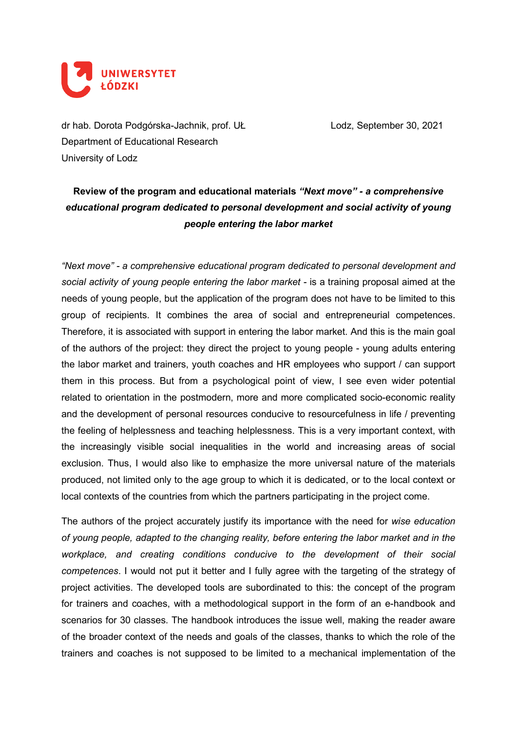

dr hab. Dorota Podgórska-Jachnik, prof. UŁ Lodz, September 30, 2021 Department of Educational Research University of Lodz

## **Review of the program and educational materials** *"Next move" - a comprehensive educational program dedicated to personal development and social activity of young people entering the labor market*

*"Next move" - a comprehensive educational program dedicated to personal development and social activity of young people entering the labor market -* is a training proposal aimed at the needs of young people, but the application of the program does not have to be limited to this group of recipients. It combines the area of social and entrepreneurial competences. Therefore, it is associated with support in entering the labor market. And this is the main goal of the authors of the project: they direct the project to young people - young adults entering the labor market and trainers, youth coaches and HR employees who support / can support them in this process. But from a psychological point of view, I see even wider potential related to orientation in the postmodern, more and more complicated socio-economic reality and the development of personal resources conducive to resourcefulness in life / preventing the feeling of helplessness and teaching helplessness. This is a very important context, with the increasingly visible social inequalities in the world and increasing areas of social exclusion. Thus, I would also like to emphasize the more universal nature of the materials produced, not limited only to the age group to which it is dedicated, or to the local context or local contexts of the countries from which the partners participating in the project come.

The authors of the project accurately justify its importance with the need for *wise education of young people, adapted to the changing reality, before entering the labor market and in the workplace, and creating conditions conducive to the development of their social competences*. I would not put it better and I fully agree with the targeting of the strategy of project activities. The developed tools are subordinated to this: the concept of the program for trainers and coaches, with a methodological support in the form of an e-handbook and scenarios for 30 classes. The handbook introduces the issue well, making the reader aware of the broader context of the needs and goals of the classes, thanks to which the role of the trainers and coaches is not supposed to be limited to a mechanical implementation of the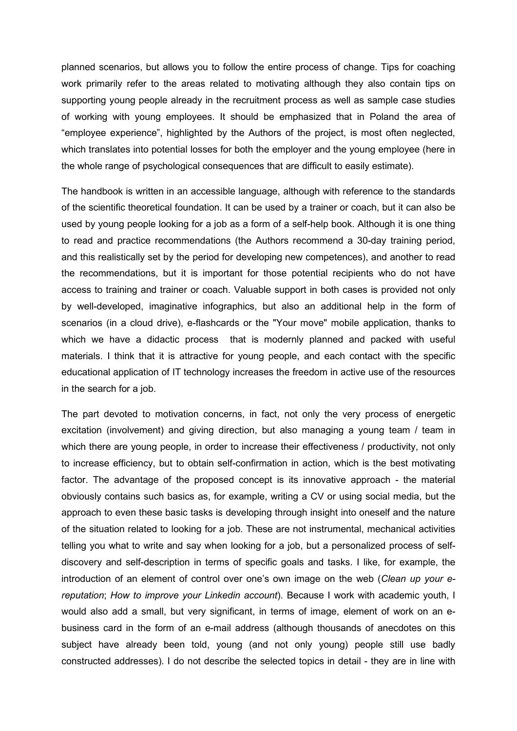planned scenarios, but allows you to follow the entire process of change. Tips for coaching work primarily refer to the areas related to motivating although they also contain tips on supporting young people already in the recruitment process as well as sample case studies of working with young employees. It should be emphasized that in Poland the area of "employee experience", highlighted by the Authors of the project, is most often neglected, which translates into potential losses for both the employer and the young employee (here in the whole range of psychological consequences that are difficult to easily estimate).

The handbook is written in an accessible language, although with reference to the standards of the scientific theoretical foundation. It can be used by a trainer or coach, but it can also be used by young people looking for a job as a form of a self-help book. Although it is one thing to read and practice recommendations (the Authors recommend a 30-day training period, and this realistically set by the period for developing new competences), and another to read the recommendations, but it is important for those potential recipients who do not have access to training and trainer or coach. Valuable support in both cases is provided not only by well-developed, imaginative infographics, but also an additional help in the form of scenarios (in a cloud drive), e-flashcards or the "Your move" mobile application, thanks to which we have a didactic process that is modernly planned and packed with useful materials. I think that it is attractive for young people, and each contact with the specific educational application of IT technology increases the freedom in active use of the resources in the search for a job.

The part devoted to motivation concerns, in fact, not only the very process of energetic excitation (involvement) and giving direction, but also managing a young team / team in which there are young people, in order to increase their effectiveness / productivity, not only to increase efficiency, but to obtain self-confirmation in action, which is the best motivating factor. The advantage of the proposed concept is its innovative approach - the material obviously contains such basics as, for example, writing a CV or using social media, but the approach to even these basic tasks is developing through insight into oneself and the nature of the situation related to looking for a job. These are not instrumental, mechanical activities telling you what to write and say when looking for a job, but a personalized process of selfdiscovery and self-description in terms of specific goals and tasks. I like, for example, the introduction of an element of control over one's own image on the web (*Clean up your ereputation*; *How to improve your Linkedin account*). Because I work with academic youth, I would also add a small, but very significant, in terms of image, element of work on an ebusiness card in the form of an e-mail address (although thousands of anecdotes on this subject have already been told, young (and not only young) people still use badly constructed addresses). I do not describe the selected topics in detail - they are in line with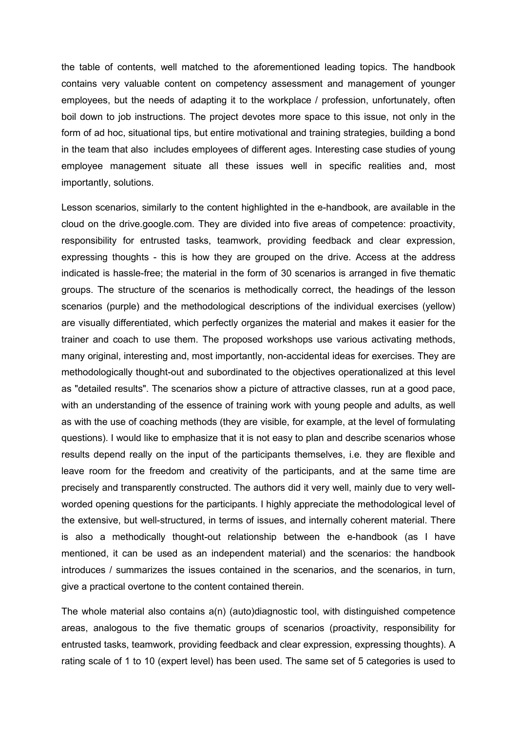the table of contents, well matched to the aforementioned leading topics. The handbook contains very valuable content on competency assessment and management of younger employees, but the needs of adapting it to the workplace / profession, unfortunately, often boil down to job instructions. The project devotes more space to this issue, not only in the form of ad hoc, situational tips, but entire motivational and training strategies, building a bond in the team that also includes employees of different ages. Interesting case studies of young employee management situate all these issues well in specific realities and, most importantly, solutions.

Lesson scenarios, similarly to the content highlighted in the e-handbook, are available in the cloud on the drive.google.com. They are divided into five areas of competence: proactivity, responsibility for entrusted tasks, teamwork, providing feedback and clear expression, expressing thoughts - this is how they are grouped on the drive. Access at the address indicated is hassle-free; the material in the form of 30 scenarios is arranged in five thematic groups. The structure of the scenarios is methodically correct, the headings of the lesson scenarios (purple) and the methodological descriptions of the individual exercises (yellow) are visually differentiated, which perfectly organizes the material and makes it easier for the trainer and coach to use them. The proposed workshops use various activating methods, many original, interesting and, most importantly, non-accidental ideas for exercises. They are methodologically thought-out and subordinated to the objectives operationalized at this level as "detailed results". The scenarios show a picture of attractive classes, run at a good pace, with an understanding of the essence of training work with young people and adults, as well as with the use of coaching methods (they are visible, for example, at the level of formulating questions). I would like to emphasize that it is not easy to plan and describe scenarios whose results depend really on the input of the participants themselves, i.e. they are flexible and leave room for the freedom and creativity of the participants, and at the same time are precisely and transparently constructed. The authors did it very well, mainly due to very wellworded opening questions for the participants. I highly appreciate the methodological level of the extensive, but well-structured, in terms of issues, and internally coherent material. There is also a methodically thought-out relationship between the e-handbook (as I have mentioned, it can be used as an independent material) and the scenarios: the handbook introduces / summarizes the issues contained in the scenarios, and the scenarios, in turn, give a practical overtone to the content contained therein.

The whole material also contains a(n) (auto)diagnostic tool, with distinguished competence areas, analogous to the five thematic groups of scenarios (proactivity, responsibility for entrusted tasks, teamwork, providing feedback and clear expression, expressing thoughts). A rating scale of 1 to 10 (expert level) has been used. The same set of 5 categories is used to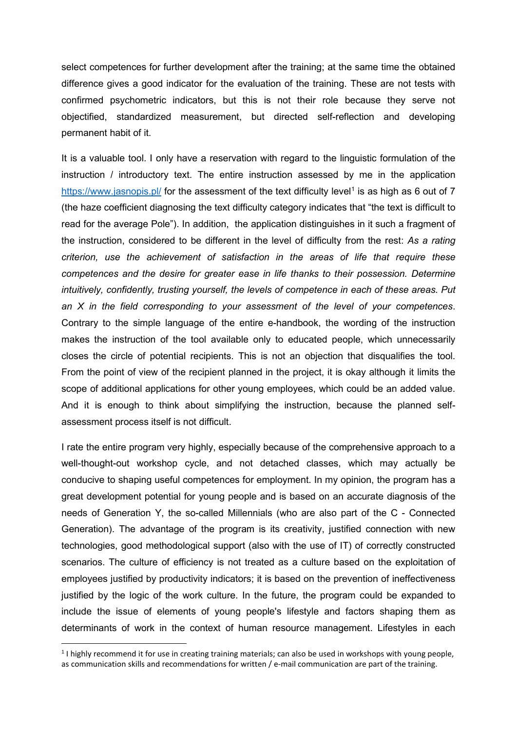select competences for further development after the training; at the same time the obtained difference gives a good indicator for the evaluation of the training. These are not tests with confirmed psychometric indicators, but this is not their role because they serve not objectified, standardized measurement, but directed self-reflection and developing permanent habit of it.

It is a valuable tool. I only have a reservation with regard to the linguistic formulation of the instruction / introductory text. The entire instruction assessed by me in the application <https://www.jasnopis.pl/> for the assessment of the text difficulty level<sup>[1](#page-3-0)</sup> is as high as 6 out of 7 (the haze coefficient diagnosing the text difficulty category indicates that "the text is difficult to read for the average Pole"). In addition, the application distinguishes in it such a fragment of the instruction, considered to be different in the level of difficulty from the rest: *As a rating criterion, use the achievement of satisfaction in the areas of life that require these competences and the desire for greater ease in life thanks to their possession. Determine intuitively, confidently, trusting yourself, the levels of competence in each of these areas. Put an X in the field corresponding to your assessment of the level of your competences*. Contrary to the simple language of the entire e-handbook, the wording of the instruction makes the instruction of the tool available only to educated people, which unnecessarily closes the circle of potential recipients. This is not an objection that disqualifies the tool. From the point of view of the recipient planned in the project, it is okay although it limits the scope of additional applications for other young employees, which could be an added value. And it is enough to think about simplifying the instruction, because the planned selfassessment process itself is not difficult.

I rate the entire program very highly, especially because of the comprehensive approach to a well-thought-out workshop cycle, and not detached classes, which may actually be conducive to shaping useful competences for employment. In my opinion, the program has a great development potential for young people and is based on an accurate diagnosis of the needs of Generation Y, the so-called Millennials (who are also part of the C - Connected Generation). The advantage of the program is its creativity, justified connection with new technologies, good methodological support (also with the use of IT) of correctly constructed scenarios. The culture of efficiency is not treated as a culture based on the exploitation of employees justified by productivity indicators; it is based on the prevention of ineffectiveness justified by the logic of the work culture. In the future, the program could be expanded to include the issue of elements of young people's lifestyle and factors shaping them as determinants of work in the context of human resource management. Lifestyles in each

<span id="page-3-0"></span><sup>&</sup>lt;sup>1</sup> I highly recommend it for use in creating training materials; can also be used in workshops with young people, as communication skills and recommendations for written / e-mail communication are part of the training.